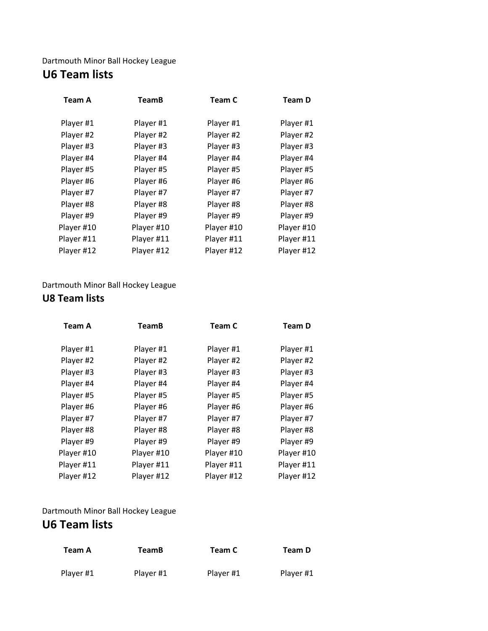### Dartmouth Minor Ball Hockey League **U6 Team lists**

| <b>Team A</b> | <b>TeamB</b> | Team C     | <b>Team D</b> |
|---------------|--------------|------------|---------------|
| Player #1     | Player #1    | Player #1  | Player #1     |
| Player #2     | Player #2    | Player #2  | Player #2     |
| Player #3     | Player #3    | Player #3  | Player #3     |
| Player #4     | Player #4    | Player #4  | Player #4     |
| Player #5     | Player #5    | Player #5  | Player #5     |
| Player #6     | Player #6    | Player #6  | Player #6     |
| Player #7     | Player #7    | Player #7  | Player #7     |
| Player #8     | Player #8    | Player #8  | Player #8     |
| Player #9     | Player #9    | Player #9  | Player #9     |
| Player #10    | Player #10   | Player #10 | Player #10    |
| Player #11    | Player #11   | Player #11 | Player #11    |
| Player #12    | Player #12   | Player #12 | Player #12    |

### Dartmouth Minor Ball Hockey League

### **U8 Team lists**

| <b>Team A</b> | <b>TeamB</b> | Team C     | <b>Team D</b> |
|---------------|--------------|------------|---------------|
| Player #1     | Player #1    | Player #1  | Player #1     |
| Player #2     | Player #2    | Player #2  | Player #2     |
| Player #3     | Player #3    | Player #3  | Player #3     |
| Player #4     | Player #4    | Player #4  | Player #4     |
| Player #5     | Player #5    | Player #5  | Player #5     |
| Player #6     | Player #6    | Player #6  | Player #6     |
| Player #7     | Player #7    | Player #7  | Player #7     |
| Player #8     | Player #8    | Player #8  | Player #8     |
| Player #9     | Player #9    | Player #9  | Player #9     |
| Player #10    | Player #10   | Player #10 | Player #10    |
| Player #11    | Player #11   | Player #11 | Player #11    |
| Player #12    | Player #12   | Player #12 | Player #12    |

### Dartmouth Minor Ball Hockey League

# **U6 Team lists**

| Team A    | <b>TeamB</b> | Team C    | Team D    |
|-----------|--------------|-----------|-----------|
| Player #1 | Player #1    | Player #1 | Player #1 |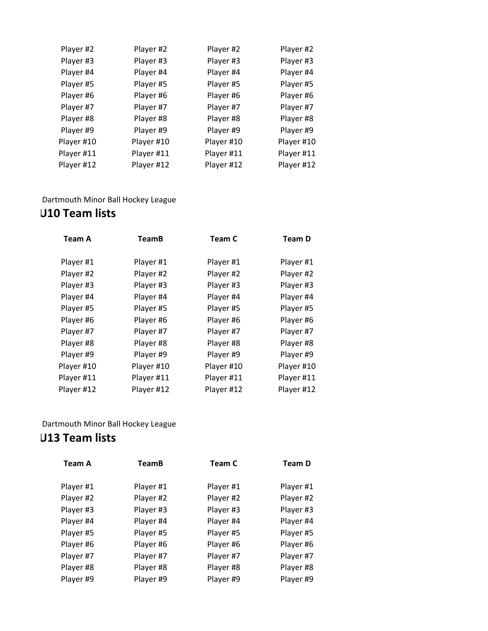| Player #2  | Player #2  | Player #2  |
|------------|------------|------------|
| Player #3  | Player #3  | Player #3  |
| Player #4  | Player #4  | Player #4  |
| Player #5  | Player #5  | Player #5  |
| Player #6  | Player #6  | Player #6  |
| Player #7  | Player #7  | Player #7  |
| Player #8  | Player #8  | Player #8  |
| Player #9  | Player #9  | Player #9  |
| Player #10 | Player #10 | Player #10 |
| Player #11 | Player #11 | Player #11 |
| Player #12 | Player #12 | Player #12 |
|            |            |            |

## Dartmouth Minor Ball Hockey League

# **U10 Team lists**

| <b>TeamB</b> | Team C     | <b>Team D</b> |
|--------------|------------|---------------|
|              |            |               |
|              |            | Player #1     |
| Player #2    | Player #2  | Player #2     |
| Player #3    | Player #3  | Player #3     |
| Player #4    | Player #4  | Player #4     |
| Player #5    | Player #5  | Player #5     |
| Player #6    | Player #6  | Player #6     |
| Player #7    | Player #7  | Player #7     |
| Player #8    | Player #8  | Player #8     |
| Player #9    | Player #9  | Player #9     |
| Player #10   | Player #10 | Player #10    |
| Player #11   | Player #11 | Player #11    |
| Player #12   | Player #12 | Player #12    |
|              | Player #1  | Player #1     |

## Dartmouth Minor Ball Hockey League

## **U13 Team lists**

| <b>Team A</b> | <b>TeamB</b> | Team C    | <b>Team D</b> |
|---------------|--------------|-----------|---------------|
| Player #1     | Player #1    | Player #1 | Player #1     |
| Player #2     | Player #2    | Player #2 | Player #2     |
| Player #3     | Player #3    | Player #3 | Player #3     |
| Player #4     | Player #4    | Player #4 | Player #4     |
| Player #5     | Player #5    | Player #5 | Player #5     |
| Player #6     | Player #6    | Player #6 | Player #6     |
| Player #7     | Player #7    | Player #7 | Player #7     |
| Player #8     | Player #8    | Player #8 | Player #8     |
| Player #9     | Player #9    | Player #9 | Player #9     |